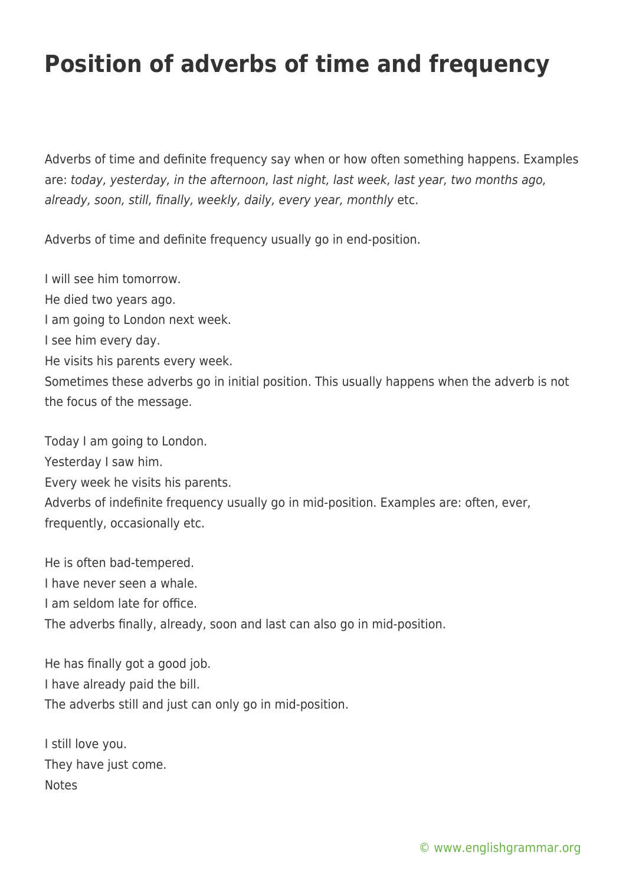## **Position of adverbs of time and frequency**

Adverbs of time and definite frequency say when or how often something happens. Examples are: today, yesterday, in the afternoon, last night, last week, last year, two months ago, already, soon, still, finally, weekly, daily, every year, monthly etc.

Adverbs of time and definite frequency usually go in end-position.

I will see him tomorrow. He died two years ago. I am going to London next week. I see him every day. He visits his parents every week. Sometimes these adverbs go in initial position. This usually happens when the adverb is not the focus of the message.

Today I am going to London.

Yesterday I saw him.

Every week he visits his parents.

Adverbs of indefinite frequency usually go in mid-position. Examples are: often, ever, frequently, occasionally etc.

He is often bad-tempered. I have never seen a whale. I am seldom late for office. The adverbs finally, already, soon and last can also go in mid-position.

He has finally got a good job. I have already paid the bill. The adverbs still and just can only go in mid-position.

I still love you. They have just come. Notes